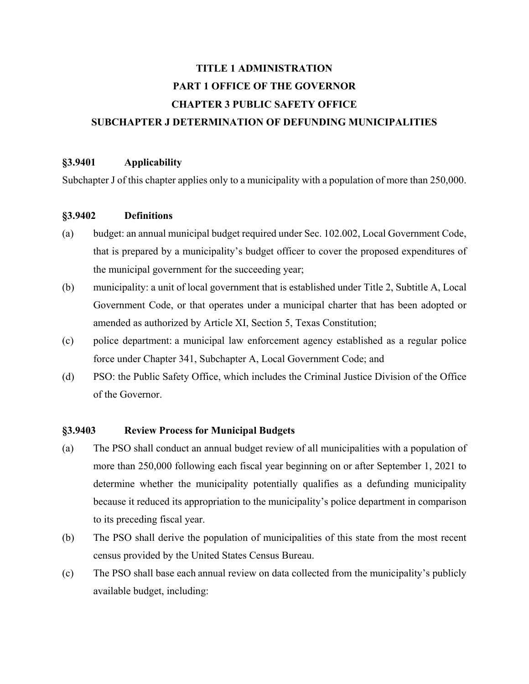# **TITLE 1 ADMINISTRATION PART 1 OFFICE OF THE GOVERNOR CHAPTER 3 PUBLIC SAFETY OFFICE SUBCHAPTER J DETERMINATION OF DEFUNDING MUNICIPALITIES**

#### **§3.9401 Applicability**

Subchapter J of this chapter applies only to a municipality with a population of more than 250,000.

#### **§3.9402 Definitions**

- (a) budget: an annual municipal budget required under Sec. 102.002, Local Government Code, that is prepared by a municipality's budget officer to cover the proposed expenditures of the municipal government for the succeeding year;
- (b) municipality: a unit of local government that is established under Title 2, Subtitle A, Local Government Code, or that operates under a municipal charter that has been adopted or amended as authorized by Article XI, Section 5, Texas Constitution;
- (c) police department: a municipal law enforcement agency established as a regular police force under Chapter 341, Subchapter A, Local Government Code; and
- (d) PSO: the Public Safety Office, which includes the Criminal Justice Division of the Office of the Governor.

#### **§3.9403 Review Process for Municipal Budgets**

- (a) The PSO shall conduct an annual budget review of all municipalities with a population of more than 250,000 following each fiscal year beginning on or after September 1, 2021 to determine whether the municipality potentially qualifies as a defunding municipality because it reduced its appropriation to the municipality's police department in comparison to its preceding fiscal year.
- (b) The PSO shall derive the population of municipalities of this state from the most recent census provided by the United States Census Bureau.
- (c) The PSO shall base each annual review on data collected from the municipality's publicly available budget, including: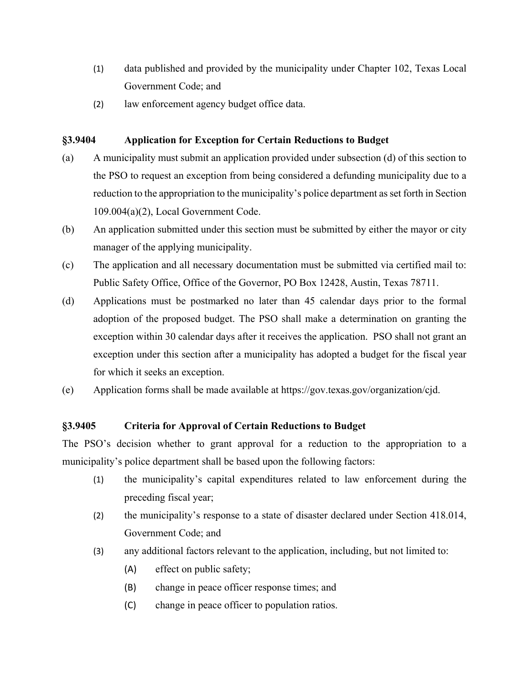- (1) data published and provided by the municipality under Chapter 102, Texas Local Government Code; and
- (2) law enforcement agency budget office data.

## **§3.9404 Application for Exception for Certain Reductions to Budget**

- (a) A municipality must submit an application provided under subsection (d) of this section to the PSO to request an exception from being considered a defunding municipality due to a reduction to the appropriation to the municipality's police department as set forth in Section 109.004(a)(2), Local Government Code.
- (b) An application submitted under this section must be submitted by either the mayor or city manager of the applying municipality.
- (c) The application and all necessary documentation must be submitted via certified mail to: Public Safety Office, Office of the Governor, PO Box 12428, Austin, Texas 78711.
- (d) Applications must be postmarked no later than 45 calendar days prior to the formal adoption of the proposed budget. The PSO shall make a determination on granting the exception within 30 calendar days after it receives the application. PSO shall not grant an exception under this section after a municipality has adopted a budget for the fiscal year for which it seeks an exception.
- (e) Application forms shall be made available at https://gov.texas.gov/organization/cjd.

# **§3.9405 Criteria for Approval of Certain Reductions to Budget**

The PSO's decision whether to grant approval for a reduction to the appropriation to a municipality's police department shall be based upon the following factors:

- (1) the municipality's capital expenditures related to law enforcement during the preceding fiscal year;
- (2) the municipality's response to a state of disaster declared under Section 418.014, Government Code; and
- (3) any additional factors relevant to the application, including, but not limited to:
	- (A) effect on public safety;
	- (B) change in peace officer response times; and
	- (C) change in peace officer to population ratios.